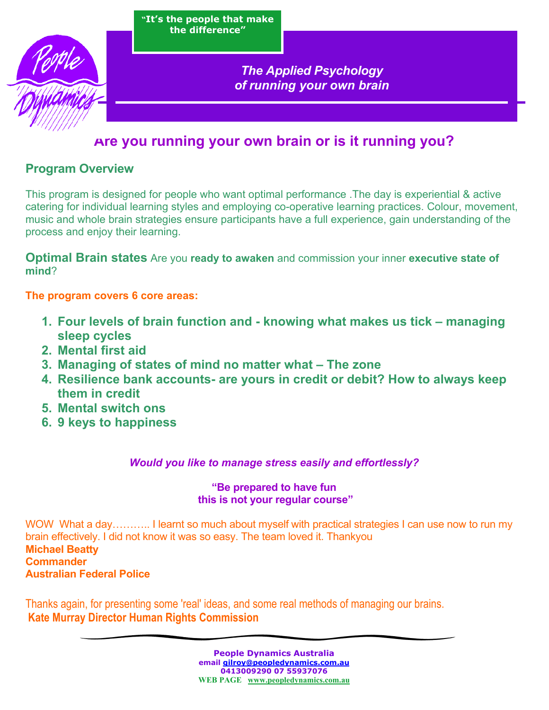



*The Applied Psychology of running your own brain* 

## **Are you running your own brain or is it running you?**

### **Program Overview**

This program is designed for people who want optimal performance .The day is experiential & active catering for individual learning styles and employing co-operative learning practices. Colour, movement, music and whole brain strategies ensure participants have a full experience, gain understanding of the process and enjoy their learning.

**Optimal Brain states** Are you **ready to awaken** and commission your inner **executive state of mind**?

### **The program covers 6 core areas:**

- **1. Four levels of brain function and knowing what makes us tick managing sleep cycles**
- **2. Mental first aid**
- **3. Managing of states of mind no matter what The zone**
- **4. Resilience bank accounts- are yours in credit or debit? How to always keep them in credit**
- **5. Mental switch ons**
- **6. 9 keys to happiness**

### *Would you like to manage stress easily and effortlessly?*

### **"Be prepared to have fun this is not your regular course"**

WOW What a day……….. I learnt so much about myself with practical strategies I can use now to run my brain effectively. I did not know it was so easy. The team loved it. Thankyou **Michael Beatty Commander Australian Federal Police** 

Thanks again, for presenting some 'real' ideas, and some real methods of managing our brains. **Kate Murray Director Human Rights Commission**

> **People Dynamics Australia email gilroy@peopledynamics.com.au 0413009290 07 55937076 WEB PAGE www.peopledynamics.com.au**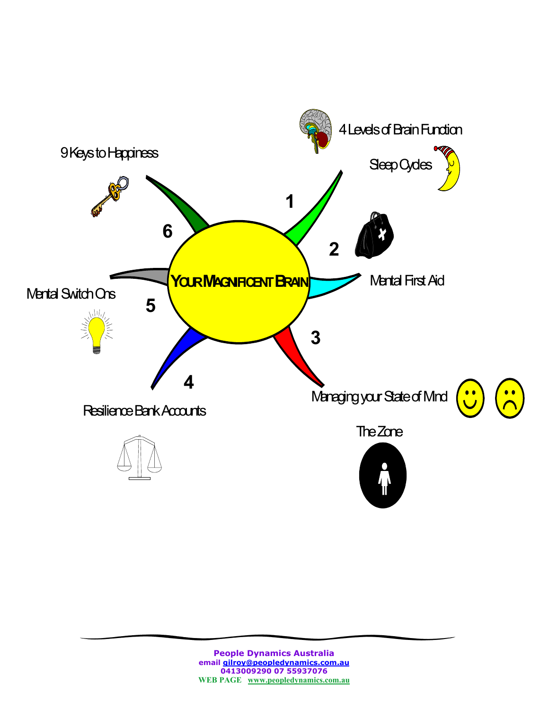